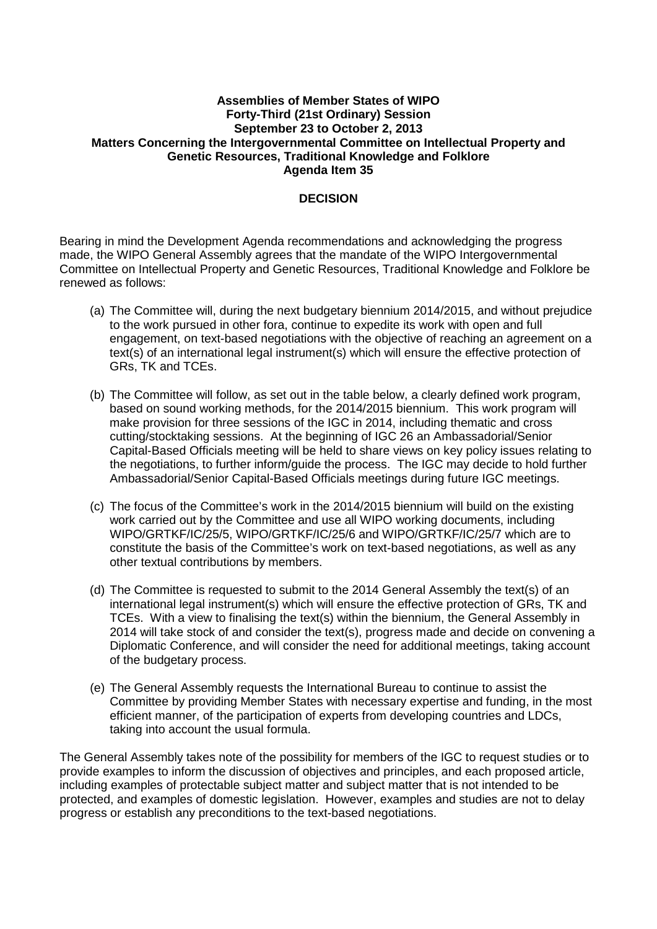## **Assemblies of Member States of WIPO Forty-Third (21st Ordinary) Session September 23 to October 2, 2013 Matters Concerning the Intergovernmental Committee on Intellectual Property and Genetic Resources, Traditional Knowledge and Folklore Agenda Item 35**

## **DECISION**

Bearing in mind the Development Agenda recommendations and acknowledging the progress made, the WIPO General Assembly agrees that the mandate of the WIPO Intergovernmental Committee on Intellectual Property and Genetic Resources, Traditional Knowledge and Folklore be renewed as follows:

- (a) The Committee will, during the next budgetary biennium 2014/2015, and without prejudice to the work pursued in other fora, continue to expedite its work with open and full engagement, on text-based negotiations with the objective of reaching an agreement on a text(s) of an international legal instrument(s) which will ensure the effective protection of GRs, TK and TCEs.
- (b) The Committee will follow, as set out in the table below, a clearly defined work program, based on sound working methods, for the 2014/2015 biennium. This work program will make provision for three sessions of the IGC in 2014, including thematic and cross cutting/stocktaking sessions. At the beginning of IGC 26 an Ambassadorial/Senior Capital-Based Officials meeting will be held to share views on key policy issues relating to the negotiations, to further inform/guide the process. The IGC may decide to hold further Ambassadorial/Senior Capital-Based Officials meetings during future IGC meetings.
- (c) The focus of the Committee's work in the 2014/2015 biennium will build on the existing work carried out by the Committee and use all WIPO working documents, including WIPO/GRTKF/IC/25/5, WIPO/GRTKF/IC/25/6 and WIPO/GRTKF/IC/25/7 which are to constitute the basis of the Committee's work on text-based negotiations, as well as any other textual contributions by members.
- (d) The Committee is requested to submit to the 2014 General Assembly the text(s) of an international legal instrument(s) which will ensure the effective protection of GRs, TK and TCEs. With a view to finalising the text(s) within the biennium, the General Assembly in 2014 will take stock of and consider the text(s), progress made and decide on convening a Diplomatic Conference, and will consider the need for additional meetings, taking account of the budgetary process.
- (e) The General Assembly requests the International Bureau to continue to assist the Committee by providing Member States with necessary expertise and funding, in the most efficient manner, of the participation of experts from developing countries and LDCs, taking into account the usual formula.

The General Assembly takes note of the possibility for members of the IGC to request studies or to provide examples to inform the discussion of objectives and principles, and each proposed article, including examples of protectable subject matter and subject matter that is not intended to be protected, and examples of domestic legislation. However, examples and studies are not to delay progress or establish any preconditions to the text-based negotiations.